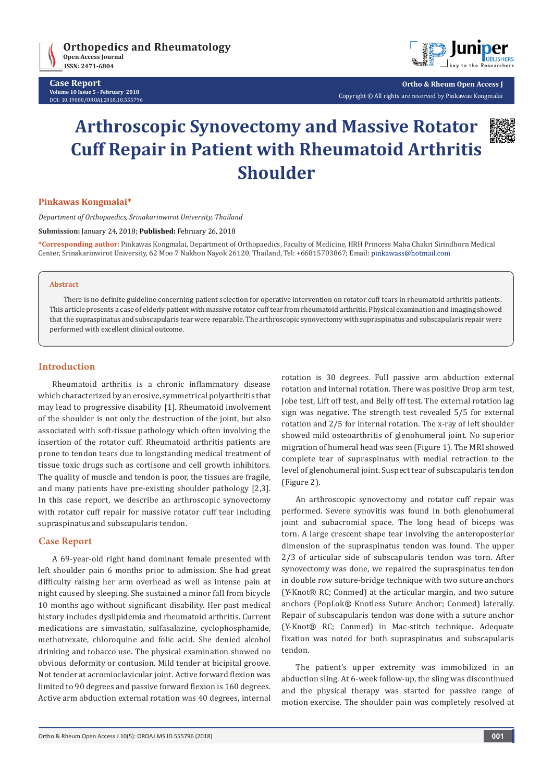

**Case Report Volume 10 Issue 5 - February 2018** DOI: [10.19080/OROAJ.2018.10.555796](http://dx.doi.org/10.19080/OROAJ.2018.10.555796)



**Ortho & Rheum Open Access J** Copyright © All rights are reserved by Pinkawas Kongmalai

# **Arthroscopic Synovectomy and Massive Rotator Cuff Repair in Patient with Rheumatoid Arthritis Shoulder**



### **Pinkawas Kongmalai\***

*Department of Orthopaedics, Srinakarinwirot University, Thailand*

**Submission:** January 24, 2018; **Published:** February 26, 2018

**\*Corresponding author:** Pinkawas Kongmalai, Department of Orthopaedics, Faculty of Medicine, HRH Princess Maha Chakri Sirindhorn Medical Center, Srinakarinwirot University, 62 Moo 7 Nakhon Nayok 26120, Thailand, Tel: +66815703867; Email:

#### **Abstract**

There is no definite guideline concerning patient selection for operative intervention on rotator cuff tears in rheumatoid arthritis patients. This article presents a case of elderly patient with massive rotator cuff tear from rheumatoid arthritis. Physical examination and imaging showed that the supraspinatus and subscapularis tear were reparable. The arthroscopic synovectomy with supraspinatus and subscapularis repair were performed with excellent clinical outcome.

## **Introduction**

Rheumatoid arthritis is a chronic inflammatory disease which characterized by an erosive, symmetrical polyarthritis that may lead to progressive disability [1]. Rheumatoid involvement of the shoulder is not only the destruction of the joint, but also associated with soft-tissue pathology which often involving the insertion of the rotator cuff. Rheumatoid arthritis patients are prone to tendon tears due to longstanding medical treatment of tissue toxic drugs such as cortisone and cell growth inhibitors. The quality of muscle and tendon is poor, the tissues are fragile, and many patients have pre-existing shoulder pathology [2,3]. In this case report, we describe an arthroscopic synovectomy with rotator cuff repair for massive rotator cuff tear including supraspinatus and subscapularis tendon.

### **Case Report**

A 69-year-old right hand dominant female presented with left shoulder pain 6 months prior to admission. She had great difficulty raising her arm overhead as well as intense pain at night caused by sleeping. She sustained a minor fall from bicycle 10 months ago without significant disability. Her past medical history includes dyslipidemia and rheumatoid arthritis. Current medications are simvastatin, sulfasalazine, cyclophosphamide, methotrexate, chloroquine and folic acid. She denied alcohol drinking and tobacco use. The physical examination showed no obvious deformity or contusion. Mild tender at bicipital groove. Not tender at acromioclavicular joint. Active forward flexion was limited to 90 degrees and passive forward flexion is 160 degrees. Active arm abduction external rotation was 40 degrees, internal rotation is 30 degrees. Full passive arm abduction external rotation and internal rotation. There was positive Drop arm test, Jobe test, Lift off test, and Belly off test. The external rotation lag sign was negative. The strength test revealed 5/5 for external rotation and 2/5 for internal rotation. The x-ray of left shoulder showed mild osteoarthritis of glenohumeral joint. No superior migration of humeral head was seen (Figure 1). The MRI showed complete tear of supraspinatus with medial retraction to the level of glenohumeral joint. Suspect tear of subscapularis tendon (Figure 2).

An arthroscopic synovectomy and rotator cuff repair was performed. Severe synovitis was found in both glenohumeral joint and subacromial space. The long head of biceps was torn. A large crescent shape tear involving the anteroposterior dimension of the supraspinatus tendon was found. The upper 2/3 of articular side of subscapularis tendon was torn. After synovectomy was done, we repaired the supraspinatus tendon in double row suture-bridge technique with two suture anchors (Y-Knot® RC; Conmed) at the articular margin, and two suture anchors (PopLok® Knotless Suture Anchor; Conmed) laterally. Repair of subscapularis tendon was done with a suture anchor (Y-Knot® RC; Conmed) in Mac-stitch technique. Adequate fixation was noted for both supraspinatus and subscapularis tendon.

The patient's upper extremity was immobilized in an abduction sling. At 6-week follow-up, the sling was discontinued and the physical therapy was started for passive range of motion exercise. The shoulder pain was completely resolved at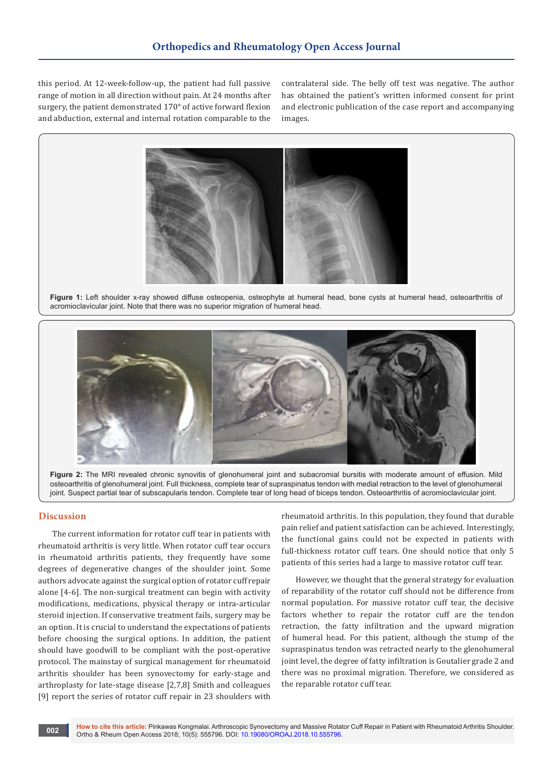this period. At 12-week-follow-up, the patient had full passive range of motion in all direction without pain. At 24 months after surgery, the patient demonstrated 170° of active forward flexion and abduction, external and internal rotation comparable to the contralateral side. The belly off test was negative. The author has obtained the patient's written informed consent for print and electronic publication of the case report and accompanying images.



**Figure 1:** Left shoulder x-ray showed diffuse osteopenia, osteophyte at humeral head, bone cysts at humeral head, osteoarthritis of acromioclavicular joint. Note that there was no superior migration of humeral head.



**Figure 2:** The MRI revealed chronic synovitis of glenohumeral joint and subacromial bursitis with moderate amount of effusion. Mild osteoarthritis of glenohumeral joint. Full thickness, complete tear of supraspinatus tendon with medial retraction to the level of glenohumeral joint. Suspect partial tear of subscapularis tendon. Complete tear of long head of biceps tendon. Osteoarthritis of acromioclavicular joint.

### **Discussion**

The current information for rotator cuff tear in patients with rheumatoid arthritis is very little. When rotator cuff tear occurs in rheumatoid arthritis patients, they frequently have some degrees of degenerative changes of the shoulder joint. Some authors advocate against the surgical option of rotator cuff repair alone [4-6]. The non-surgical treatment can begin with activity modifications, medications, physical therapy or intra-articular steroid injection. If conservative treatment fails, surgery may be an option. It is crucial to understand the expectations of patients before choosing the surgical options. In addition, the patient should have goodwill to be compliant with the post-operative protocol. The mainstay of surgical management for rheumatoid arthritis shoulder has been synovectomy for early-stage and arthroplasty for late-stage disease [2,7,8] Smith and colleagues [9] report the series of rotator cuff repair in 23 shoulders with

rheumatoid arthritis. In this population, they found that durable pain relief and patient satisfaction can be achieved. Interestingly, the functional gains could not be expected in patients with full-thickness rotator cuff tears. One should notice that only 5 patients of this series had a large to massive rotator cuff tear.

However, we thought that the general strategy for evaluation of reparability of the rotator cuff should not be difference from normal population. For massive rotator cuff tear, the decisive factors whether to repair the rotator cuff are the tendon retraction, the fatty infiltration and the upward migration of humeral head. For this patient, although the stump of the supraspinatus tendon was retracted nearly to the glenohumeral joint level, the degree of fatty infiltration is Goutalier grade 2 and there was no proximal migration. Therefore, we considered as the reparable rotator cuff tear.